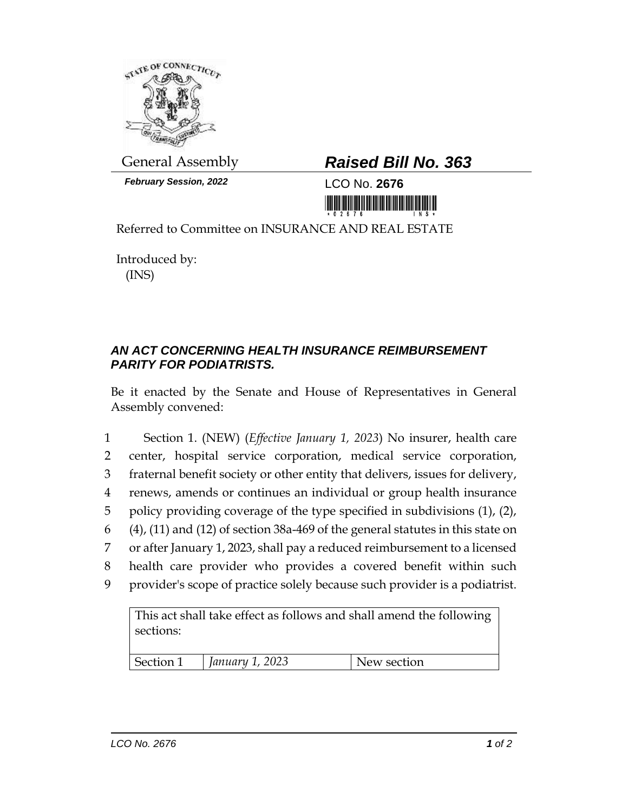

*February Session, 2022* LCO No. **2676**

## General Assembly *Raised Bill No. 363*

Referred to Committee on INSURANCE AND REAL ESTATE

Introduced by: (INS)

## *AN ACT CONCERNING HEALTH INSURANCE REIMBURSEMENT PARITY FOR PODIATRISTS.*

Be it enacted by the Senate and House of Representatives in General Assembly convened:

 Section 1. (NEW) (*Effective January 1, 2023*) No insurer, health care center, hospital service corporation, medical service corporation, fraternal benefit society or other entity that delivers, issues for delivery, renews, amends or continues an individual or group health insurance policy providing coverage of the type specified in subdivisions (1), (2), (4), (11) and (12) of section 38a-469 of the general statutes in this state on or after January 1, 2023, shall pay a reduced reimbursement to a licensed health care provider who provides a covered benefit within such provider's scope of practice solely because such provider is a podiatrist.

This act shall take effect as follows and shall amend the following sections: Section 1 *January 1, 2023* New section